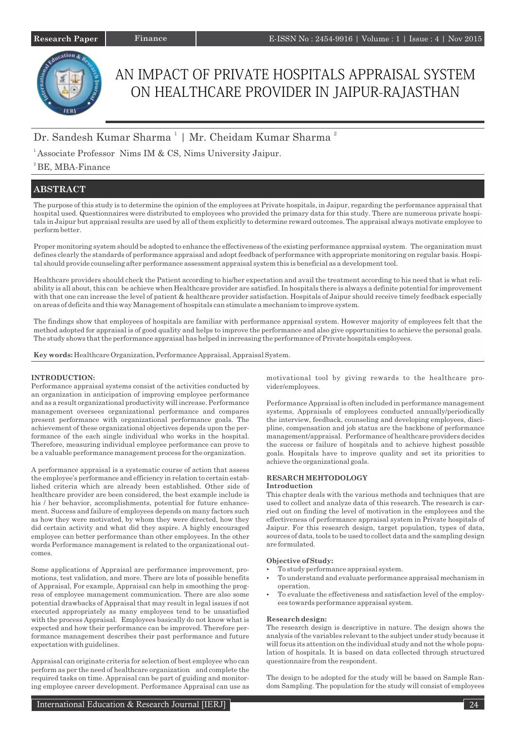# AN IMPACT OF PRIVATE HOSPITALS APPRAISAL SYSTEM ON HEALTHCARE PROVIDER IN JAIPUR-RAJASTHAN

## Dr. Sandesh Kumar Sharma<sup>1</sup> | Mr. Cheidam Kumar Sharma<sup>2</sup>

<sup>1</sup> Associate Professor Nims IM & CS, Nims University Jaipur.

## ${}^{2}$ BE, MBA-Finance

## **ABSTRACT**

The purpose of this study is to determine the opinion of the employees at Private hospitals, in Jaipur, regarding the performance appraisal that hospital used. Questionnaires were distributed to employees who provided the primary data for this study. There are numerous private hospitals in Jaipur but appraisal results are used by all of them explicitly to determine reward outcomes. The appraisal always motivate employee to perform better.

Proper monitoring system should be adopted to enhance the effectiveness of the existing performance appraisal system. The organization must defines clearly the standards of performance appraisal and adopt feedback of performance with appropriate monitoring on regular basis. Hospital should provide counseling after performance assessment appraisal system this is beneficial as a development tool.

Healthcare providers should check the Patient according to his/her expectation and avail the treatment according to his need that is what reliability is all about, this can be achieve when Healthcare provider are satisfied. In hospitals there is always a definite potential for improvement with that one can increase the level of patient & healthcare provider satisfaction. Hospitals of Jaipur should receive timely feedback especially on areas of deficits and this way Management of hospitals can stimulate a mechanism to improve system.

The findings show that employees of hospitals are familiar with performance appraisal system. However majority of employees felt that the method adopted for appraisal is of good quality and helps to improve the performance and also give opportunities to achieve the personal goals. The study shows that the performance appraisal has helped in increasing the performance of Private hospitals employees.

**Key words:** Healthcare Organization, Performance Appraisal, Appraisal System.

### **INTRODUCTION:**

Performance appraisal systems consist of the activities conducted by an organization in anticipation of improving employee performance and as a result organizational productivity will increase. Performance management oversees organizational performance and compares present performance with organizational performance goals. The achievement of these organizational objectives depends upon the performance of the each single individual who works in the hospital. Therefore, measuring individual employee performance can prove to be a valuable performance management process for the organization.

A performance appraisal is a systematic course of action that assess the employee's performance and efficiency in relation to certain established criteria which are already been established. Other side of healthcare provider are been considered, the best example include is his / her behavior, accomplishments, potential for future enhancement. Success and failure of employees depends on many factors such as how they were motivated, by whom they were directed, how they did certain activity and what did they aspire. A highly encouraged employee can better performance than other employees. In the other words Performance management is related to the organizational outcomes.

Some applications of Appraisal are performance improvement, promotions, test validation, and more. There are lots of possible benefits of Appraisal, For example, Appraisal can help in smoothing the progress of employee management communication. There are also some potential drawbacks of Appraisal that may result in legal issues if not executed appropriately as many employees tend to be unsatisfied with the process Appraisal. Employees basically do not know what is expected and how their performance can be improved. Therefore performance management describes their past performance and future expectation with guidelines.

Appraisal can originate criteria for selection of best employee who can perform as per the need of healthcare organization and complete the required tasks on time. Appraisal can be part of guiding and monitoring employee career development. Performance Appraisal can use as motivational tool by giving rewards to the healthcare provider/employees.

Performance Appraisal is often included in performance management systems, Appraisals of employees conducted annually/periodically the interview, feedback, counseling and developing employees, discipline, compensation and job status are the backbone of performance management/appraisal. Performance of healthcare providers decides the success or failure of hospitals and to achieve highest possible goals. Hospitals have to improve quality and set its priorities to achieve the organizational goals.

### **RESARCH MEHTODOLOGY**

#### **Introduction**

This chapter deals with the various methods and techniques that are used to collect and analyze data of this research. The research is carried out on finding the level of motivation in the employees and the effectiveness of performance appraisal system in Private hospitals of Jaipur. For this research design, target population, types of data, sources of data, tools to be used to collect data and the sampling design are formulated.

#### **Objective of Study:**

- To study performance appraisal system.
- To understand and evaluate performance appraisal mechanism in operation.
- To evaluate the effectiveness and satisfaction level of the employees towards performance appraisal system.

#### **Research design:**

The research design is descriptive in nature. The design shows the analysis of the variables relevant to the subject under study because it will focus its attention on the individual study and not the whole population of hospitals. It is based on data collected through structured questionnaire from the respondent.

The design to be adopted for the study will be based on Sample Random Sampling. The population for the study will consist of employees

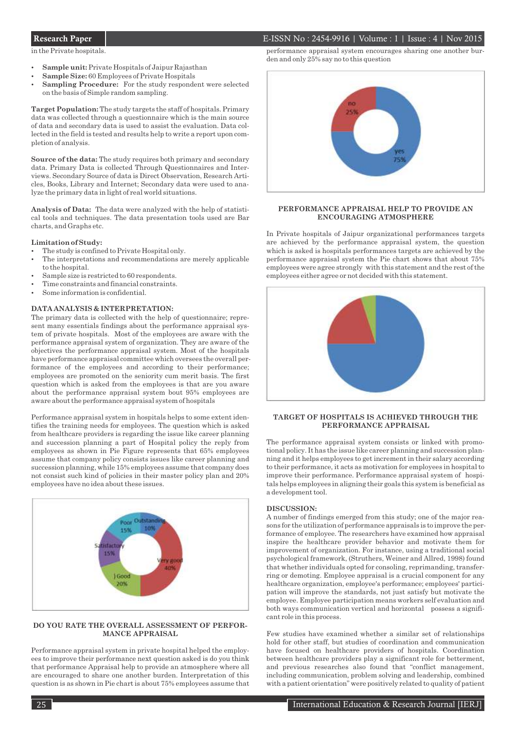in the Private hospitals.

- Sample unit: Private Hospitals of Jaipur Rajasthan
- Sample Size: 60 Employees of Private Hospitals
- **Sampling Procedure:** For the study respondent were selected on the basis of Simple random sampling.

**Target Population:** The study targets the staff of hospitals. Primary data was collected through a questionnaire which is the main source of data and secondary data is used to assist the evaluation. Data collected in the field is tested and results help to write a report upon completion of analysis.

**Source of the data:** The study requires both primary and secondary data. Primary Data is collected Through Questionnaires and Interviews. Secondary Source of data is Direct Observation, Research Articles, Books, Library and Internet; Secondary data were used to analyze the primary data in light of real world situations.

**Analysis of Data:** The data were analyzed with the help of statistical tools and techniques. The data presentation tools used are Bar charts, and Graphs etc.

#### **Limitation of Study:**

- The study is confined to Private Hospital only.
- The interpretations and recommendations are merely applicable to the hospital.
- Sample size is restricted to 60 respondents.
- Time constraints and financial constraints.
- Some information is confidential.

#### **DATA ANALYSIS & INTERPRETATION:**

The primary data is collected with the help of questionnaire; represent many essentials findings about the performance appraisal system of private hospitals. Most of the employees are aware with the performance appraisal system of organization. They are aware of the objectives the performance appraisal system. Most of the hospitals have performance appraisal committee which oversees the overall performance of the employees and according to their performance; employees are promoted on the seniority cum merit basis. The first question which is asked from the employees is that are you aware about the performance appraisal system bout 95% employees are aware about the performance appraisal system of hospitals

Performance appraisal system in hospitals helps to some extent identifies the training needs for employees. The question which is asked from healthcare providers is regarding the issue like career planning and succession planning a part of Hospital policy the reply from employees as shown in Pie Figure represents that 65% employees assume that company policy consists issues like career planning and succession planning, while 15% employees assume that company does not consist such kind of policies in their master policy plan and 20% employees have no idea about these issues.



#### **DO YOU RATE THE OVERALL ASSESSMENT OF PERFOR-MANCE APPRAISAL**

Performance appraisal system in private hospital helped the employees to improve their performance next question asked is do you think that performance Appraisal help to provide an atmosphere where all are encouraged to share one another burden. Interpretation of this question is as shown in Pie chart is about 75% employees assume that

## Research Paper 1 1 1 1 1 2015

performance appraisal system encourages sharing one another burden and only 25% say no to this question



#### **PERFORMANCE APPRAISAL HELP TO PROVIDE AN ENCOURAGING ATMOSPHERE**

In Private hospitals of Jaipur organizational performances targets are achieved by the performance appraisal system, the question which is asked is hospitals performances targets are achieved by the performance appraisal system the Pie chart shows that about 75% employees were agree strongly with this statement and the rest of the employees either agree or not decided with this statement.



#### **TARGET OF HOSPITALS IS ACHIEVED THROUGH THE PERFORMANCE APPRAISAL**

The performance appraisal system consists or linked with promotional policy. It has the issue like career planning and succession planning and it helps employees to get increment in their salary according to their performance, it acts as motivation for employees in hospital to improve their performance. Performance appraisal system of hospitals helps employees in aligning their goals this system is beneficial as a development tool.

#### **DISCUSSION:**

A number of findings emerged from this study; one of the major reasons for the utilization of performance appraisals is to improve the performance of employee. The researchers have examined how appraisal inspire the healthcare provider behavior and motivate them for improvement of organization. For instance, using a traditional social psychological framework, (Struthers, Weiner and Allred, 1998) found that whether individuals opted for consoling, reprimanding, transferring or demoting. Employee appraisal is a crucial component for any healthcare organization, employee's performance; employees' participation will improve the standards, not just satisfy but motivate the employee. Employee participation means workers self evaluation and both ways communication vertical and horizontal possess a significant role in this process.

Few studies have examined whether a similar set of relationships hold for other staff, but studies of coordination and communication have focused on healthcare providers of hospitals. Coordination between healthcare providers play a significant role for betterment, and previous researches also found that "conflict management, including communication, problem solving and leadership, combined with a patient orientation" were positively related to quality of patient